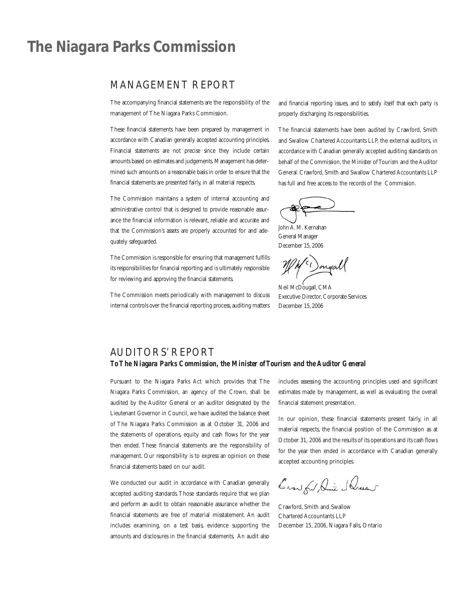## **The Niagara Parks Commission**

### MANAGEMENT REPORT

The accompanying financial statements are the responsibility of the management of The Niagara Parks Commission.

These financial statements have been prepared by management in accordance with Canadian generally accepted accounting principles. Financial statements are not precise since they include certain amounts based on estimates and judgements.Management has determined such amounts on a reasonable basis in order to ensure that the financial statements are presented fairly, in all material respects.

The Commission maintains a system of internal accounting and administrative control that is designed to provide reasonable assurance the financial information is relevant, reliable and accurate and that the Commission's assets are properly accounted for and adequately safeguarded.

The Commission is responsible for ensuring that management fulfills its responsibilities for financial reporting and is ultimately responsible for reviewing and approving the financial statements.

The Commission meets periodically with management to discuss internal controls over the financial reporting process, auditing matters and financial reporting issues, and to satisfy itself that each party is properly discharging its responsibilities.

The financial statements have been audited by Crawford, Smith and Swallow Chartered Accountants LLP, the external auditors, in accordance with Canadian generally accepted auditing standards on behalf of the Commission, the Minister of Tourism and the Auditor General. Crawford, Smith and Swallow Chartered Accountants LLP has full and free access to the records of the Commission.

John A. M. Kernahan General Manager December 15, 2006

ongall

Neil McDougall, CMA Executive Director, Corporate Services December 15, 2006

### AUDITORS' REPORT

#### *ToThe Niagara Parks Commission, the Minister ofTourism and the Auditor General*

Pursuant to the Niagara Parks Act which provides that The Niagara Parks Commission, an agency of the Crown, shall be audited by the Auditor General or an auditor designated by the Lieutenant Governor in Council, we have audited the balance sheet of The Niagara Parks Commission as at October 31, 2006 and the statements of operations, equity and cash flows for the year then ended. These financial statements are the responsibility of management. Our responsibility is to express an opinion on these financial statements based on our audit.

We conducted our audit in accordance with Canadian generally accepted auditing standards.Those standards require that we plan and perform an audit to obtain reasonable assurance whether the financial statements are free of material misstatement. An audit includes examining, on a test basis, evidence supporting the amounts and disclosures in the financial statements. An audit also

includes assessing the accounting principles used and significant estimates made by management, as well as evaluating the overall financial statement presentation.

In our opinion, these financial statements present fairly, in all material respects, the financial position of the Commission as at October 31, 2006 and the results of its operations and its cash flows for the year then ended in accordance with Canadian generally accepted accounting principles.

Crow for Amic Scheeper

Crawford, Smith and Swallow Chartered Accountants LLP December 15, 2006, Niagara Falls, Ontario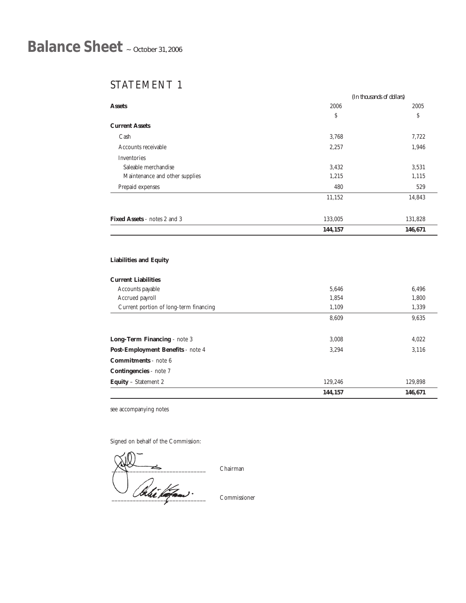# **Balance Sheet** ~ October 31, 2006

### STATEMENT 1

|                                     |         | (In thousands of dollars) |
|-------------------------------------|---------|---------------------------|
| <b>Assets</b>                       | 2006    | 2005                      |
|                                     | \$      | \$                        |
| <b>Current Assets</b>               |         |                           |
| Cash                                | 3,768   | 7,722                     |
| Accounts receivable                 | 2,257   | 1,946                     |
| Inventories                         |         |                           |
| Saleable merchandise                | 3,432   | 3,531                     |
| Maintenance and other supplies      | 1,215   | 1,115                     |
| Prepaid expenses                    | 480     | 529                       |
|                                     | 11,152  | 14,843                    |
| <b>Fixed Assets</b> - notes 2 and 3 | 133,005 | 131,828                   |
|                                     | 144,157 | 146,671                   |

#### **Liabilities and Equity**

#### **Current Liabilities**

|                                        | 144,157 | 146,671 |
|----------------------------------------|---------|---------|
| <b>Equity</b> – Statement 2            | 129.246 | 129,898 |
| <b>Contingencies</b> - note 7          |         |         |
| <b>Commitments</b> - note 6            |         |         |
| Post-Employment Benefits - note 4      | 3.294   | 3,116   |
| Long-Term Financing - note 3           | 3.008   | 4,022   |
|                                        | 8,609   | 9,635   |
| Current portion of long-term financing | 1.109   | 1,339   |
| Accrued payroll                        | 1.854   | 1.800   |
| Accounts payable                       | 5.646   | 6,496   |
| ulivil Liupinuv                        |         |         |

see accompanying notes

Signed on behalf of the Commission:

 $\bigwedge \bigwedge$  -  $\longrightarrow$   $\longrightarrow$  Chairman \_\_\_\_\_\_\_\_\_\_\_\_\_\_\_\_\_\_\_\_\_\_\_\_\_\_\_\_\_\_\_ Commissioner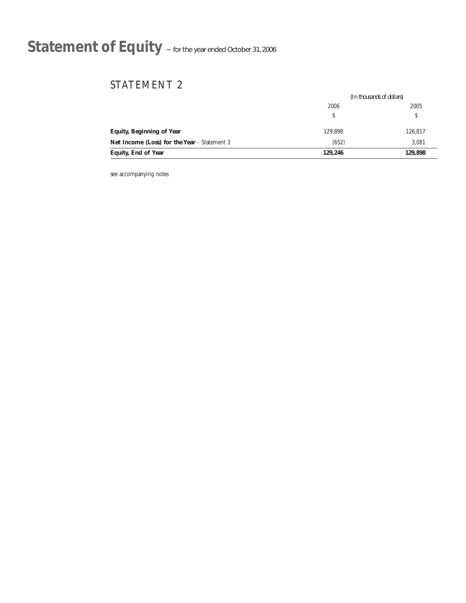# **Statement of Equity** <sup>~</sup> for the year ended October 31, <sup>2006</sup>

### STATEMENT 2

|                                              | (In thousands of dollars) |         |
|----------------------------------------------|---------------------------|---------|
|                                              | 2006                      | 2005    |
|                                              | S.                        | \$      |
| <b>Equity, Beginning of Year</b>             | 129.898                   | 126,817 |
| Net Income (Loss) for the Year - Statement 3 | (652)                     | 3.081   |
| <b>Equity, End of Year</b>                   | 129,246                   | 129,898 |

see accompanying notes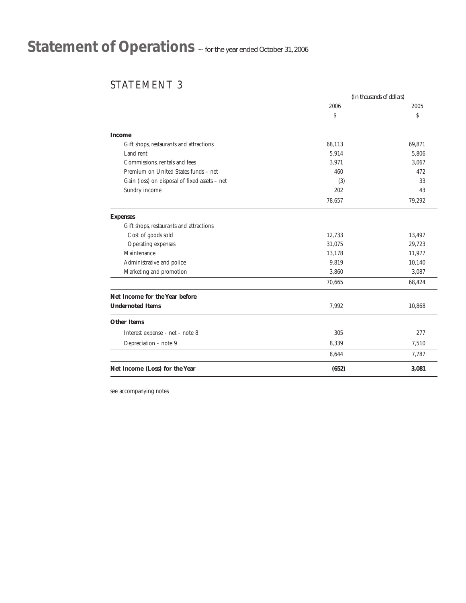# **Statement of Operations** <sup>~</sup> for the year ended October 31, <sup>2006</sup>

### STATEMENT 3

|                                               |        | (In thousands of dollars) |
|-----------------------------------------------|--------|---------------------------|
|                                               | 2006   | 2005                      |
|                                               | \$     | \$                        |
| <b>Income</b>                                 |        |                           |
| Gift shops, restaurants and attractions       | 68,113 | 69,871                    |
| Land rent                                     | 5,914  | 5,806                     |
| Commissions, rentals and fees                 | 3,971  | 3,067                     |
| Premium on United States funds - net          | 460    | 472                       |
| Gain (loss) on disposal of fixed assets - net | (3)    | 33                        |
| Sundry income                                 | 202    | 43                        |
|                                               | 78,657 | 79,292                    |
| <b>Expenses</b>                               |        |                           |
| Gift shops, restaurants and attractions       |        |                           |
| Cost of goods sold                            | 12,733 | 13,497                    |
| Operating expenses                            | 31,075 | 29,723                    |
| Maintenance                                   | 13,178 | 11,977                    |
| Administrative and police                     | 9,819  | 10,140                    |
| Marketing and promotion                       | 3,860  | 3,087                     |
|                                               | 70,665 | 68,424                    |
| Net Income for the Year before                |        |                           |
| <b>Undernoted Items</b>                       | 7,992  | 10,868                    |
| <b>Other Items</b>                            |        |                           |
| Interest expense - net - note 8               | 305    | 277                       |
| Depreciation - note 9                         | 8,339  | 7,510                     |
|                                               | 8,644  | 7,787                     |
| Net Income (Loss) for the Year                | (652)  | 3,081                     |

see accompanying notes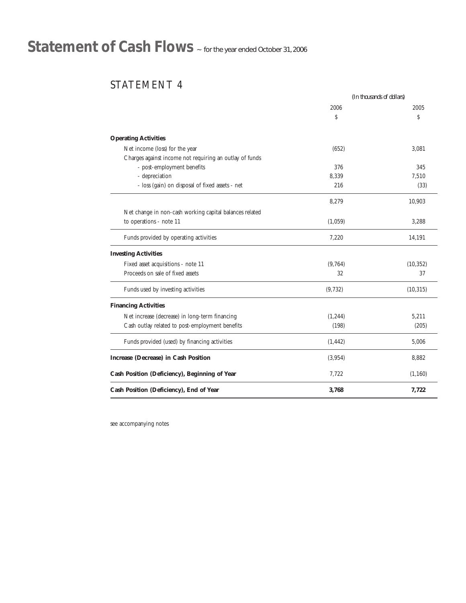# **Statement of Cash Flows** <sup>~</sup> for the year ended October 31, <sup>2006</sup>

### STATEMENT 4

|                                                         |          | (In thousands of dollars) |
|---------------------------------------------------------|----------|---------------------------|
|                                                         | 2006     | 2005                      |
|                                                         | \$       | \$                        |
| <b>Operating Activities</b>                             |          |                           |
| Net income (loss) for the year                          | (652)    | 3,081                     |
| Charges against income not requiring an outlay of funds |          |                           |
| - post-employment benefits                              | 376      | 345                       |
| - depreciation                                          | 8,339    | 7,510                     |
| - loss (gain) on disposal of fixed assets - net         | 216      | (33)                      |
|                                                         | 8,279    | 10,903                    |
| Net change in non-cash working capital balances related |          |                           |
| to operations - note 11                                 | (1,059)  | 3,288                     |
| Funds provided by operating activities                  | 7,220    | 14,191                    |
| <b>Investing Activities</b>                             |          |                           |
| Fixed asset acquisitions - note 11                      | (9, 764) | (10, 352)                 |
| Proceeds on sale of fixed assets                        | 32       | 37                        |
| Funds used by investing activities                      | (9, 732) | (10, 315)                 |
| <b>Financing Activities</b>                             |          |                           |
| Net increase (decrease) in long-term financing          | (1, 244) | 5,211                     |
| Cash outlay related to post-employment benefits         | (198)    | (205)                     |
| Funds provided (used) by financing activities           | (1, 442) | 5,006                     |
| Increase (Decrease) in Cash Position                    | (3,954)  | 8.882                     |
| Cash Position (Deficiency), Beginning of Year           | 7,722    | (1, 160)                  |
| Cash Position (Deficiency), End of Year                 | 3,768    | 7,722                     |

see accompanying notes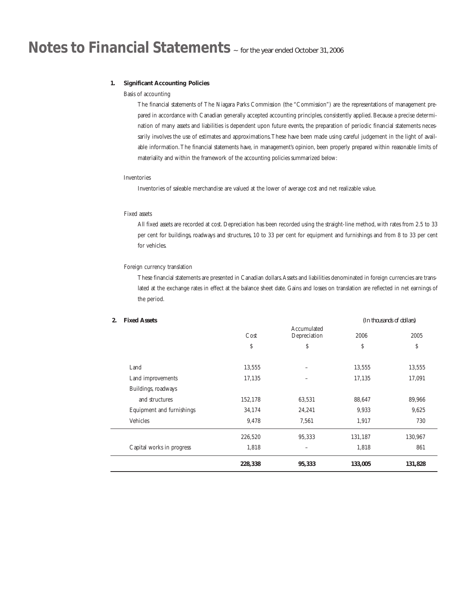#### **1. Significant Accounting Policies**

#### Basis of accounting

The financial statements of The Niagara Parks Commission (the "Commission") are the representations of management prepared in accordance with Canadian generally accepted accounting principles, consistently applied. Because a precise determination of many assets and liabilities is dependent upon future events, the preparation of periodic financial statements necessarily involves the use of estimates and approximations. These have been made using careful judgement in the light of available information.The financial statements have, in management's opinion, been properly prepared within reasonable limits of materiality and within the framework of the accounting policies summarized below:

#### Inventories

Inventories of saleable merchandise are valued at the lower of average cost and net realizable value.

#### Fixed assets

All fixed assets are recorded at cost. Depreciation has been recorded using the straight-line method, with rates from 2.5 to 33 per cent for buildings, roadways and structures, 10 to 33 per cent for equipment and furnishings and from 8 to 33 per cent for vehicles.

#### Foreign currency translation

These financial statements are presented in Canadian dollars. Assets and liabilities denominated in foreign currencies are translated at the exchange rates in effect at the balance sheet date. Gains and losses on translation are reflected in net earnings of the period.

| 2. | <b>Fixed Assets</b>       |         |                             |         | (In thousands of dollars) |
|----|---------------------------|---------|-----------------------------|---------|---------------------------|
|    |                           | Cost    | Accumulated<br>Depreciation | 2006    | 2005                      |
|    |                           | \$      | \$                          | \$      | \$                        |
|    | Land                      | 13,555  |                             | 13,555  | 13,555                    |
|    | Land improvements         | 17,135  |                             | 17,135  | 17,091                    |
|    | Buildings, roadways       |         |                             |         |                           |
|    | and structures            | 152,178 | 63,531                      | 88,647  | 89,966                    |
|    | Equipment and furnishings | 34,174  | 24,241                      | 9,933   | 9,625                     |
|    | Vehicles                  | 9,478   | 7,561                       | 1,917   | 730                       |
|    |                           | 226,520 | 95,333                      | 131,187 | 130,967                   |
|    | Capital works in progress | 1,818   |                             | 1,818   | 861                       |
|    |                           | 228,338 | 95,333                      | 133,005 | 131,828                   |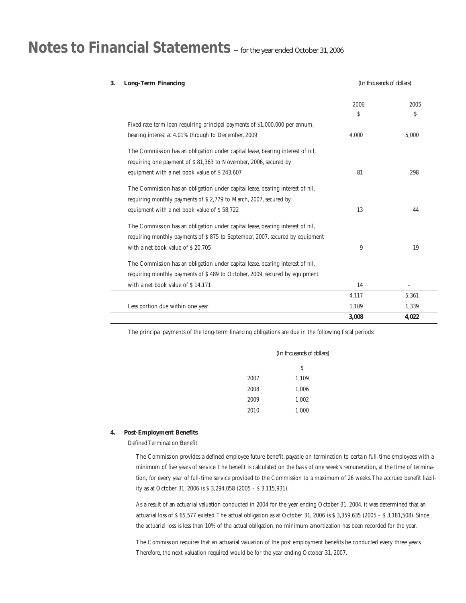| 3. | <b>Long-Term Financing</b>                                                     |            | (In thousands of dollars) |
|----|--------------------------------------------------------------------------------|------------|---------------------------|
|    |                                                                                | 2006<br>\$ | 2005<br>\$                |
|    | Fixed rate term loan requiring principal payments of \$1,000,000 per annum,    |            |                           |
|    | bearing interest at 4.01% through to December, 2009                            | 4,000      | 5.000                     |
|    | The Commission has an obligation under capital lease, bearing interest of nil, |            |                           |
|    | requiring one payment of \$81,363 to November, 2006, secured by                |            |                           |
|    | equipment with a net book value of \$243,607                                   | 81         | 298                       |
|    | The Commission has an obligation under capital lease, bearing interest of nil. |            |                           |
|    | requiring monthly payments of \$2,779 to March, 2007, secured by               |            |                           |
|    | equipment with a net book value of \$58,722                                    | 13         | 44                        |
|    | The Commission has an obligation under capital lease, bearing interest of nil, |            |                           |
|    | requiring monthly payments of \$875 to September, 2007, secured by equipment   |            |                           |
|    | with a net book value of \$20,705                                              | 9          | 19                        |
|    | The Commission has an obligation under capital lease, bearing interest of nil, |            |                           |
|    | requiring monthly payments of \$489 to October, 2009, secured by equipment     |            |                           |
|    | with a net book value of \$14,171                                              | 14         |                           |
|    |                                                                                | 4,117      | 5,361                     |
|    | Less portion due within one year                                               | 1,109      | 1,339                     |
|    |                                                                                | 3,008      | 4,022                     |

The principal payments of the long-term financing obligations are due in the following fiscal periods:

|      | (In thousands of dollars) |
|------|---------------------------|
|      | \$                        |
| 2007 | 1,109                     |
| 2008 | 1,006                     |
| 2009 | 1.002                     |
| 2010 | 1,000                     |

#### **4. Post-Employment Benefits**

Defined Termination Benefit

The Commission provides a defined employee future benefit, payable on termination to certain full-time employees with a minimum of five years of service.The benefit is calculated on the basis of one week's remuneration, at the time of termination, for every year of full-time service provided to the Commission to a maximum of 26 weeks.The accrued benefit liability as at October 31, 2006 is \$ 3,294,058 (2005 - \$ 3,115,931).

As a result of an actuarial valuation conducted in 2004 for the year ending October 31, 2004, it was determined that an actuarial loss of \$ 65,577 existed.The actual obligation as at October 31, 2006 is \$ 3,359,635 (2005 - \$ 3,181,508). Since the actuarial loss is less than 10% of the actual obligation, no minimum amortization has been recorded for the year.

The Commission requires that an actuarial valuation of the post employment benefits be conducted every three years. Therefore, the next valuation required would be for the year ending October 31, 2007.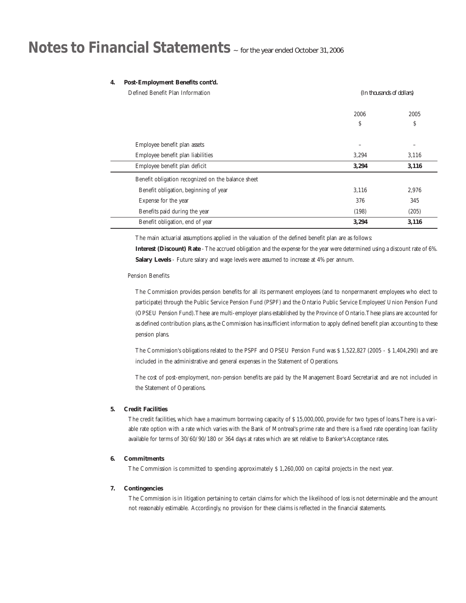#### **4. Post-Employment Benefits cont'd.**

| Defined Benefit Plan Information                   | (In thousands of dollars) |                              |
|----------------------------------------------------|---------------------------|------------------------------|
|                                                    | 2006<br>\$                | 2005<br>\$                   |
| Employee benefit plan assets                       |                           | $\qquad \qquad \blacksquare$ |
| Employee benefit plan liabilities                  | 3,294                     | 3,116                        |
| Employee benefit plan deficit                      | 3,294                     | 3,116                        |
| Benefit obligation recognized on the balance sheet |                           |                              |
| Benefit obligation, beginning of year              | 3,116                     | 2,976                        |
| Expense for the year                               | 376                       | 345                          |
| Benefits paid during the year                      | (198)                     | (205)                        |
| Benefit obligation, end of year                    | 3,294                     | 3,116                        |

The main actuarial assumptions applied in the valuation of the defined benefit plan are as follows:

**Interest (Discount) Rate** -The accrued obligation and the expense for the year were determined using a discount rate of 6%. **Salary Levels** - Future salary and wage levels were assumed to increase at 4% per annum.

#### Pension Benefits

The Commission provides pension benefits for all its permanent employees (and to nonpermanent employees who elect to participate) through the Public Service Pension Fund (PSPF) and the Ontario Public Service Employees' Union Pension Fund (OPSEU Pension Fund).These are multi-employer plans established by the Province of Ontario.These plans are accounted for as defined contribution plans, as the Commission has insufficient information to apply defined benefit plan accounting to these pension plans.

The Commission's obligations related to the PSPF and OPSEU Pension Fund was \$ 1,522,827 (2005 - \$ 1,404,290) and are included in the administrative and general expenses in the Statement of Operations.

The cost of post-employment, non-pension benefits are paid by the Management Board Secretariat and are not included in the Statement of Operations.

#### **5. Credit Facilities**

The credit facilities, which have a maximum borrowing capacity of \$ 15,000,000, provide for two types of loans.There is a variable rate option with a rate which varies with the Bank of Montreal's prime rate and there is a fixed rate operating loan facility available for terms of 30/60/90/180 or 364 days at rates which are set relative to Banker's Acceptance rates.

#### **6. Commitments**

The Commission is committed to spending approximately \$ 1,260,000 on capital projects in the next year.

#### **7. Contingencies**

The Commission is in litigation pertaining to certain claims for which the likelihood of loss is not determinable and the amount not reasonably estimable. Accordingly, no provision for these claims is reflected in the financial statements.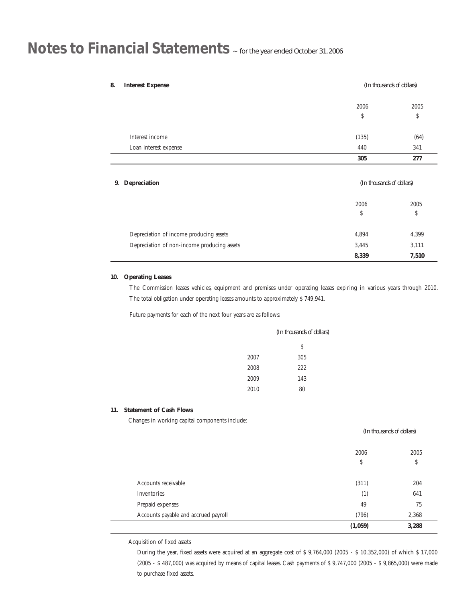| <b>Interest Expense</b><br>8.               |                           | (In thousands of dollars) |
|---------------------------------------------|---------------------------|---------------------------|
|                                             | 2006                      | 2005                      |
|                                             | \$                        | \$                        |
| Interest income                             | (135)                     | (64)                      |
| Loan interest expense                       | 440                       | 341                       |
|                                             | 305                       | 277                       |
| <b>Depreciation</b><br>9.                   | (In thousands of dollars) |                           |
|                                             | 2006                      | 2005                      |
|                                             | \$                        | \$                        |
| Depreciation of income producing assets     | 4,894                     | 4,399                     |
| Depreciation of non-income producing assets | 3,445                     | 3,111                     |
|                                             | 8,339                     | 7,510                     |

#### **10. Operating Leases**

The Commission leases vehicles, equipment and premises under operating leases expiring in various years through 2010. The total obligation under operating leases amounts to approximately \$ 749,941.

Future payments for each of the next four years are as follows:

|      | (In thousands of dollars) |
|------|---------------------------|
|      | \$                        |
| 2007 | 305                       |
| 2008 | 222                       |
| 2009 | 143                       |
| 2010 | 80                        |
|      |                           |

#### **11. Statement of Cash Flows**

Changes in working capital components include:

#### *(In thousands of dollars)*

| Inventories<br>Prepaid expenses<br>Accounts payable and accrued payroll | (1)<br>49<br>(796) | 641<br>75<br>2,368 |
|-------------------------------------------------------------------------|--------------------|--------------------|
|                                                                         |                    |                    |
|                                                                         |                    |                    |
|                                                                         |                    |                    |
| Accounts receivable                                                     | (311)              | 204                |
|                                                                         | 2006<br>\$         | 2005<br>\$         |

Acquisition of fixed assets

During the year, fixed assets were acquired at an aggregate cost of \$ 9,764,000 (2005 - \$ 10,352,000) of which \$ 17,000 (2005 - \$ 487,000) was acquired by means of capital leases. Cash payments of \$ 9,747,000 (2005 - \$ 9,865,000) were made to purchase fixed assets.